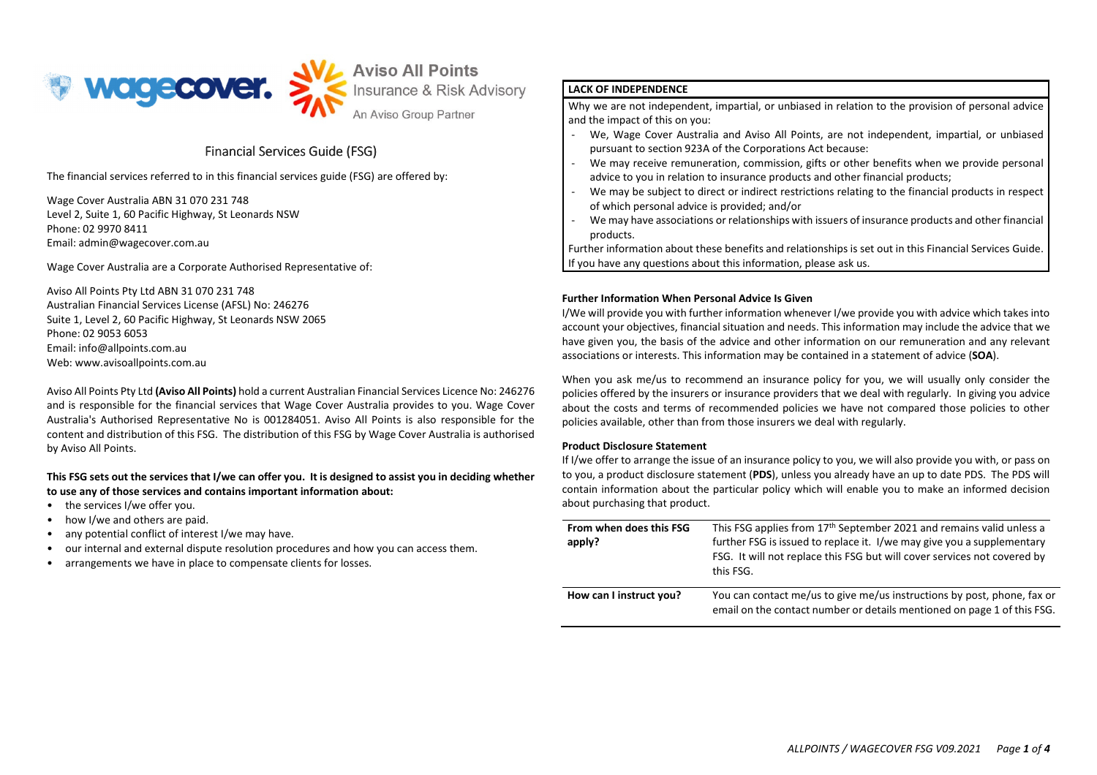

An Aviso Group Partner

# Financial Services Guide (FSG) (FSG)

The financial services referred to in this financial services guide (FSG) are offered by:

Wage Cover Australia ABN 31 070 231 748 Level 2, Suite 1, 60 Pacific Highway, St Leonards NSW Phone: 02 9970 8411 Email: admin@wagecover.com.au

Wage Cover Australia are a Corporate Authorised Representative of:

Aviso All Points Pty Ltd ABN 31 070 231 748 Australian Financial Services License (AFSL) No: 246276 Suite 1, Level 2, 60 Pacific Highway, St Leonards NSW 2065 Phone: 02 9053 6053 Email: info@allpoints.com.au Web: www.avisoallpoints.com.au

Aviso All Points Pty Ltd (Aviso All Points) hold a current Australian Financial Services Licence No: 246276 and is responsible for the financial services that Wage Cover Australia provides to you. Wage Cover Australia's Authorised Representative No is 001284051. Aviso All Points is also responsible for the content and distribution of this FSG. The distribution of this FSG by Wage Cover Australia is authorised by Aviso All Points.

# This FSG sets out the services that I/we can offer you. It is designed to assist you in deciding whether to use any of those services and contains important information about:

- the services I/we offer you.
- how I/we and others are paid.
- any potential conflict of interest I/we may have.
- our internal and external dispute resolution procedures and how you can access them.
- arrangements we have in place to compensate clients for losses.

# LACK OF INDEPENDENCE

Why we are not independent, impartial, or unbiased in relation to the provision of personal advice and the impact of this on you:

- We, Wage Cover Australia and Aviso All Points, are not independent, impartial, or unbiased pursuant to section 923A of the Corporations Act because:
- We may receive remuneration, commission, gifts or other benefits when we provide personal advice to you in relation to insurance products and other financial products; -
- We may be subject to direct or indirect restrictions relating to the financial products in respect of which personal advice is provided; and/or -
- We may have associations or relationships with issuers of insurance products and other financial products.

Further information about these benefits and relationships is set out in this Financial Services Guide.If you have any questions about this information, please ask us.

# Further Information When Personal Advice Is Given

I/We will provide you with further information whenever I/we provide you with advice which takes into account your objectives, financial situation and needs. This information may include the advice that we have given you, the basis of the advice and other information on our remuneration and any relevant associations or interests. This information may be contained in a statement of advice (SOA).

When you ask me/us to recommend an insurance policy for you, we will usually only consider the policies offered by the insurers or insurance providers that we deal with regularly. In giving you advice about the costs and terms of recommended policies we have not compared those policies to other policies available, other than from those insurers we deal with regularly.

## Product Disclosure Statement

If I/we offer to arrange the issue of an insurance policy to you, we will also provide you with, or pass on to you, a product disclosure statement (PDS), unless you already have an up to date PDS. The PDS will contain information about the particular policy which will enable you to make an informed decision about purchasing that product.

| From when does this FSG<br>apply? | This FSG applies from 17 <sup>th</sup> September 2021 and remains valid unless a<br>further FSG is issued to replace it. I/we may give you a supplementary<br>FSG. It will not replace this FSG but will cover services not covered by<br>this FSG. |
|-----------------------------------|-----------------------------------------------------------------------------------------------------------------------------------------------------------------------------------------------------------------------------------------------------|
| How can I instruct you?           | You can contact me/us to give me/us instructions by post, phone, fax or<br>email on the contact number or details mentioned on page 1 of this FSG.                                                                                                  |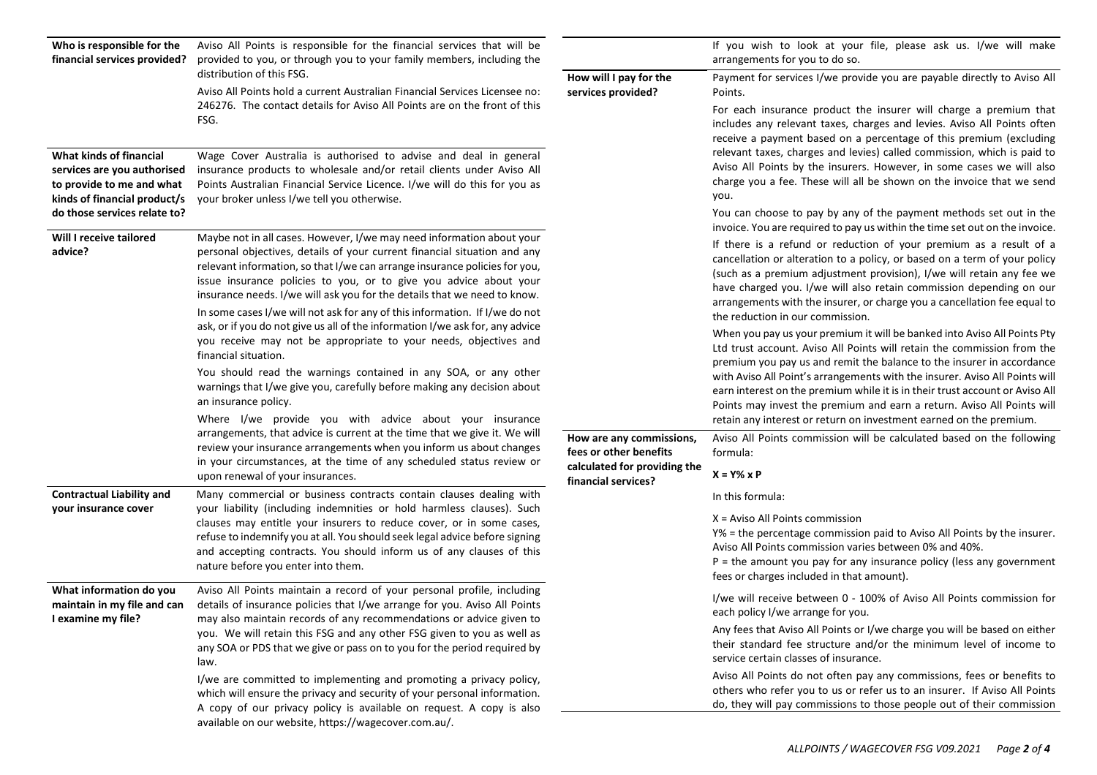| Who is responsible for the<br>financial services provided?                                                          | Aviso All Points is responsible for the financial services that will be<br>provided to you, or through you to your family members, including the                                                                                                                                                                                                                                 |                                                                                                           | If you wish to look at your file, please ask us. I/we will make<br>arrangements for you to do so.                                                                                                                                                                                                                                                                                                                                                                                                         |
|---------------------------------------------------------------------------------------------------------------------|----------------------------------------------------------------------------------------------------------------------------------------------------------------------------------------------------------------------------------------------------------------------------------------------------------------------------------------------------------------------------------|-----------------------------------------------------------------------------------------------------------|-----------------------------------------------------------------------------------------------------------------------------------------------------------------------------------------------------------------------------------------------------------------------------------------------------------------------------------------------------------------------------------------------------------------------------------------------------------------------------------------------------------|
|                                                                                                                     | distribution of this FSG.<br>Aviso All Points hold a current Australian Financial Services Licensee no:                                                                                                                                                                                                                                                                          | How will I pay for the<br>services provided?                                                              | Payment for services I/we provide you are payable directly to Aviso All<br>Points.<br>For each insurance product the insurer will charge a premium that<br>includes any relevant taxes, charges and levies. Aviso All Points often<br>receive a payment based on a percentage of this premium (excluding                                                                                                                                                                                                  |
|                                                                                                                     | 246276. The contact details for Aviso All Points are on the front of this<br>FSG.                                                                                                                                                                                                                                                                                                |                                                                                                           |                                                                                                                                                                                                                                                                                                                                                                                                                                                                                                           |
| What kinds of financial<br>services are you authorised<br>to provide to me and what<br>kinds of financial product/s | Wage Cover Australia is authorised to advise and deal in general<br>insurance products to wholesale and/or retail clients under Aviso All<br>Points Australian Financial Service Licence. I/we will do this for you as<br>your broker unless I/we tell you otherwise.                                                                                                            |                                                                                                           | relevant taxes, charges and levies) called commission, which is paid to<br>Aviso All Points by the insurers. However, in some cases we will also<br>charge you a fee. These will all be shown on the invoice that we send<br>you.                                                                                                                                                                                                                                                                         |
| do those services relate to?                                                                                        |                                                                                                                                                                                                                                                                                                                                                                                  |                                                                                                           | You can choose to pay by any of the payment methods set out in the<br>invoice. You are required to pay us within the time set out on the invoice.                                                                                                                                                                                                                                                                                                                                                         |
| Will I receive tailored<br>advice?                                                                                  | Maybe not in all cases. However, I/we may need information about your<br>personal objectives, details of your current financial situation and any<br>relevant information, so that I/we can arrange insurance policies for you,<br>issue insurance policies to you, or to give you advice about your<br>insurance needs. I/we will ask you for the details that we need to know. |                                                                                                           | If there is a refund or reduction of your premium as a result of a<br>cancellation or alteration to a policy, or based on a term of your policy<br>(such as a premium adjustment provision), I/we will retain any fee we<br>have charged you. I/we will also retain commission depending on our<br>arrangements with the insurer, or charge you a cancellation fee equal to                                                                                                                               |
|                                                                                                                     | In some cases I/we will not ask for any of this information. If I/we do not<br>ask, or if you do not give us all of the information I/we ask for, any advice<br>you receive may not be appropriate to your needs, objectives and<br>financial situation.                                                                                                                         |                                                                                                           | the reduction in our commission.<br>When you pay us your premium it will be banked into Aviso All Points Pty<br>Ltd trust account. Aviso All Points will retain the commission from the<br>premium you pay us and remit the balance to the insurer in accordance<br>with Aviso All Point's arrangements with the insurer. Aviso All Points will<br>earn interest on the premium while it is in their trust account or Aviso All<br>Points may invest the premium and earn a return. Aviso All Points will |
|                                                                                                                     | You should read the warnings contained in any SOA, or any other<br>warnings that I/we give you, carefully before making any decision about<br>an insurance policy.                                                                                                                                                                                                               |                                                                                                           |                                                                                                                                                                                                                                                                                                                                                                                                                                                                                                           |
|                                                                                                                     | Where I/we provide you with advice about your insurance<br>arrangements, that advice is current at the time that we give it. We will<br>review your insurance arrangements when you inform us about changes<br>in your circumstances, at the time of any scheduled status review or                                                                                              | How are any commissions,<br>fees or other benefits<br>calculated for providing the<br>financial services? | retain any interest or return on investment earned on the premium.<br>Aviso All Points commission will be calculated based on the following<br>formula:                                                                                                                                                                                                                                                                                                                                                   |
| <b>Contractual Liability and</b>                                                                                    | upon renewal of your insurances.<br>Many commercial or business contracts contain clauses dealing with                                                                                                                                                                                                                                                                           |                                                                                                           | $X = Y\% \times P$                                                                                                                                                                                                                                                                                                                                                                                                                                                                                        |
| your insurance cover                                                                                                | your liability (including indemnities or hold harmless clauses). Such<br>clauses may entitle your insurers to reduce cover, or in some cases,<br>refuse to indemnify you at all. You should seek legal advice before signing<br>and accepting contracts. You should inform us of any clauses of this<br>nature before you enter into them.                                       |                                                                                                           | In this formula:<br>$X = Aviso$ All Points commission<br>Y% = the percentage commission paid to Aviso All Points by the insurer.<br>Aviso All Points commission varies between 0% and 40%.<br>$P =$ the amount you pay for any insurance policy (less any government<br>fees or charges included in that amount).                                                                                                                                                                                         |
| What information do you<br>maintain in my file and can<br>I examine my file?                                        | Aviso All Points maintain a record of your personal profile, including<br>details of insurance policies that I/we arrange for you. Aviso All Points<br>may also maintain records of any recommendations or advice given to                                                                                                                                                       |                                                                                                           | I/we will receive between 0 - 100% of Aviso All Points commission for<br>each policy I/we arrange for you.                                                                                                                                                                                                                                                                                                                                                                                                |
|                                                                                                                     | you. We will retain this FSG and any other FSG given to you as well as<br>any SOA or PDS that we give or pass on to you for the period required by<br>law.                                                                                                                                                                                                                       |                                                                                                           | Any fees that Aviso All Points or I/we charge you will be based on either<br>their standard fee structure and/or the minimum level of income to<br>service certain classes of insurance.                                                                                                                                                                                                                                                                                                                  |
|                                                                                                                     | I/we are committed to implementing and promoting a privacy policy,<br>which will ensure the privacy and security of your personal information.<br>A copy of our privacy policy is available on request. A copy is also<br>available on our website, https://wagecover.com.au/.                                                                                                   |                                                                                                           | Aviso All Points do not often pay any commissions, fees or benefits to<br>others who refer you to us or refer us to an insurer. If Aviso All Points<br>do, they will pay commissions to those people out of their commission                                                                                                                                                                                                                                                                              |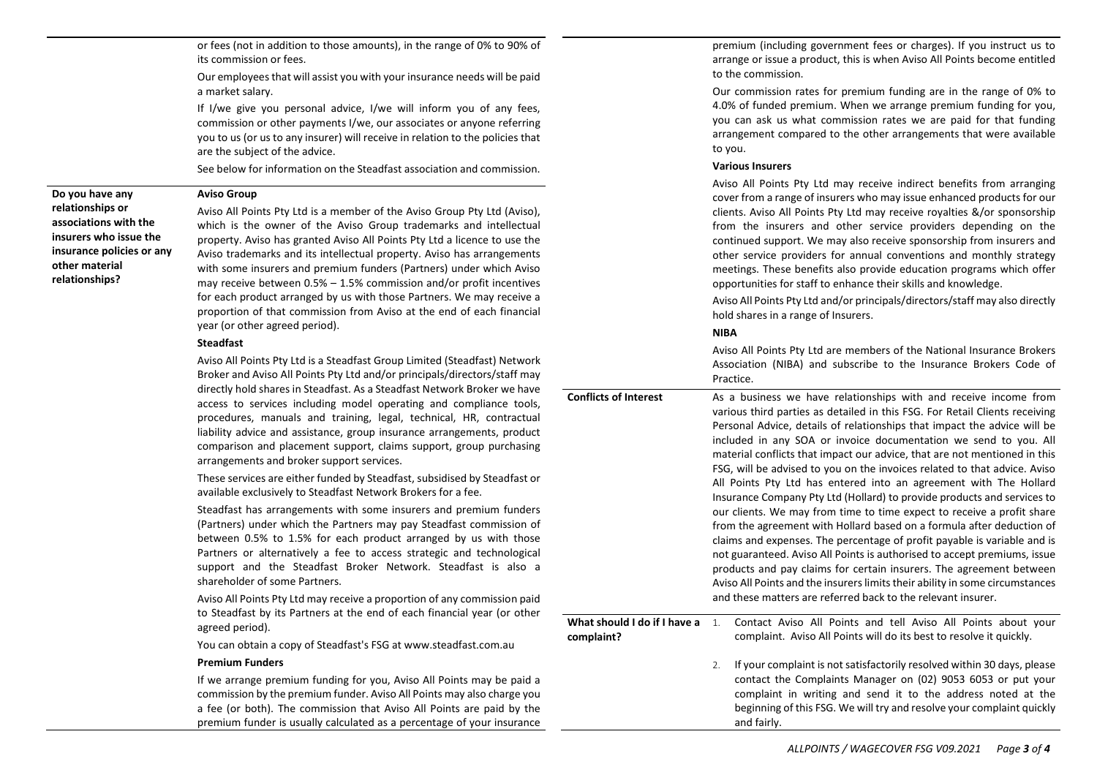or fees (not in addition to those amounts), in the range of 0% to 90% of its commission or fees.

Our employees that will assist you with your insurance needs will be paid a market salary.

If I/we give you personal advice, I/we will inform you of any fees, commission or other payments I/we, our associates or anyone referring you to us (or us to any insurer) will receive in relation to the policies that are the subject of the advice.

See below for information on the Steadfast association and commission.

#### Aviso Group

Do you have any relationships or associations with the insurers who issue the insurance policies or any other material relationships?

Aviso All Points Pty Ltd is a member of the Aviso Group Pty Ltd (Aviso), which is the owner of the Aviso Group trademarks and intellectual property. Aviso has granted Aviso All Points Pty Ltd a licence to use the Aviso trademarks and its intellectual property. Aviso has arrangements with some insurers and premium funders (Partners) under which Aviso may receive between 0.5% – 1.5% commission and/or profit incentives for each product arranged by us with those Partners. We may receive a proportion of that commission from Aviso at the end of each financial year (or other agreed period).

### Steadfast

Aviso All Points Pty Ltd is a Steadfast Group Limited (Steadfast) Network Broker and Aviso All Points Pty Ltd and/or principals/directors/staff may directly hold shares in Steadfast. As a Steadfast Network Broker we have access to services including model operating and compliance tools, procedures, manuals and training, legal, technical, HR, contractual liability advice and assistance, group insurance arrangements, product comparison and placement support, claims support, group purchasing arrangements and broker support services.

These services are either funded by Steadfast, subsidised by Steadfast or available exclusively to Steadfast Network Brokers for a fee.

Steadfast has arrangements with some insurers and premium funders (Partners) under which the Partners may pay Steadfast commission of between 0.5% to 1.5% for each product arranged by us with those Partners or alternatively a fee to access strategic and technological support and the Steadfast Broker Network. Steadfast is also a shareholder of some Partners.

Aviso All Points Pty Ltd may receive a proportion of any commission paid to Steadfast by its Partners at the end of each financial year (or other agreed period).

You can obtain a copy of Steadfast's FSG at www.steadfast.com.au

### Premium Funders

If we arrange premium funding for you, Aviso All Points may be paid a commission by the premium funder. Aviso All Points may also charge you a fee (or both). The commission that Aviso All Points are paid by the premium funder is usually calculated as a percentage of your insurance

premium (including government fees or charges). If you instruct us to arrange or issue a product, this is when Aviso All Points become entitled to the commission.

Our commission rates for premium funding are in the range of 0% to 4.0% of funded premium. When we arrange premium funding for you, you can ask us what commission rates we are paid for that funding arrangement compared to the other arrangements that were available to you.

### Various Insurers

Aviso All Points Pty Ltd may receive indirect benefits from arranging cover from a range of insurers who may issue enhanced products for our clients. Aviso All Points Pty Ltd may receive royalties &/or sponsorship from the insurers and other service providers depending on the continued support. We may also receive sponsorship from insurers and other service providers for annual conventions and monthly strategy meetings. These benefits also provide education programs which offer opportunities for staff to enhance their skills and knowledge.

Aviso All Points Pty Ltd and/or principals/directors/staff may also directly hold shares in a range of Insurers.

### NIBA

Aviso All Points Pty Ltd are members of the National Insurance Brokers Association (NIBA) and subscribe to the Insurance Brokers Code of Practice.

Conflicts of Interest As a business we have relationships with and receive income from various third parties as detailed in this FSG. For Retail Clients receiving Personal Advice, details of relationships that impact the advice will be included in any SOA or invoice documentation we send to you. All material conflicts that impact our advice, that are not mentioned in this FSG, will be advised to you on the invoices related to that advice. Aviso All Points Pty Ltd has entered into an agreement with The Hollard Insurance Company Pty Ltd (Hollard) to provide products and services to our clients. We may from time to time expect to receive a profit share from the agreement with Hollard based on a formula after deduction of claims and expenses. The percentage of profit payable is variable and is not guaranteed. Aviso All Points is authorised to accept premiums, issue products and pay claims for certain insurers. The agreement between Aviso All Points and the insurers limits their ability in some circumstances and these matters are referred back to the relevant insurer. What should I do if I have a  $\quad$   $1.$ complaint? Contact Aviso All Points and tell Aviso All Points about your complaint. Aviso All Points will do its best to resolve it quickly. 2. If your complaint is not satisfactorily resolved within 30 days, please contact the Complaints Manager on (02) 9053 6053 or put your complaint in writing and send it to the address noted at the

and fairly.

beginning of this FSG. We will try and resolve your complaint quickly